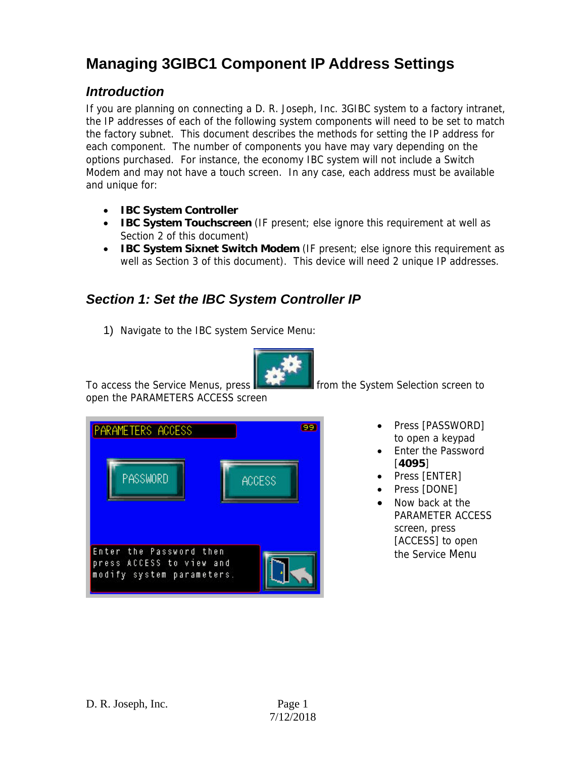## **Managing 3GIBC1 Component IP Address Settings**

## *Introduction*

If you are planning on connecting a D. R. Joseph, Inc. 3GIBC system to a factory intranet, the IP addresses of each of the following system components will need to be set to match the factory subnet. This document describes the methods for setting the IP address for each component. The number of components you have may vary depending on the options purchased. For instance, the economy IBC system will not include a Switch Modem and may not have a touch screen. In any case, each address must be available and unique for:

- **IBC System Controller**
- **IBC System Touchscreen** (IF present; else ignore this requirement at well as Section 2 of this document)
- **IBC System Sixnet Switch Modem** (IF present; else ignore this requirement as well as Section 3 of this document). This device will need 2 unique IP addresses.

## *Section 1: Set the IBC System Controller IP*

1) Navigate to the IBC system Service Menu:



To access the Service Menus, press **From the System Selection screen to** open the PARAMETERS ACCESS screen

| <b>PARAMETERS ACCESS</b>                              | 89            |
|-------------------------------------------------------|---------------|
| PASSWORD                                              | <b>ACCESS</b> |
|                                                       |               |
| Enter the Password then                               |               |
| press ACCESS to view and<br>modify system parameters. |               |

- Press [PASSWORD] to open a keypad
- Enter the Password [**4095**]
- Press [ENTER]
- Press [DONE]
- Now back at the PARAMETER ACCESS screen, press [ACCESS] to open the Service Menu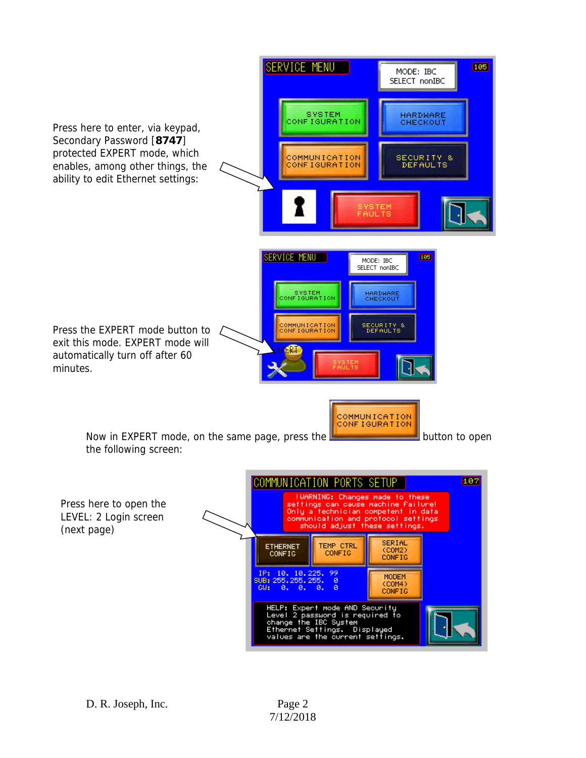

(next page)

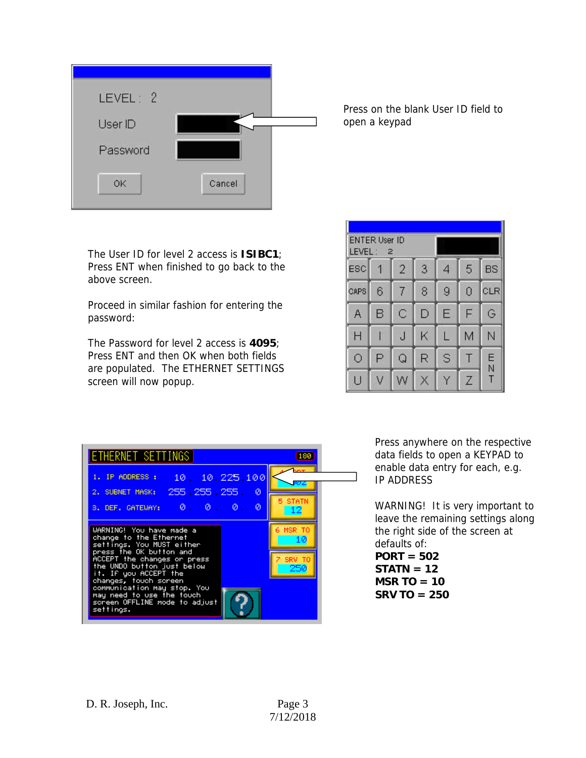

Press on the blank User ID field to open a keypad

The User ID for level 2 access is **ISIBC1**; Press ENT when finished to go back to the above screen.

Proceed in similar fashion for entering the password:

The Password for level 2 access is **4095**; Press ENT and then OK when both fields are populated. The ETHERNET SETTINGS screen will now popup.

| LEVEL : | <b>ENTER User ID</b><br>2 |                |   |                |                |           |
|---------|---------------------------|----------------|---|----------------|----------------|-----------|
| ESC     |                           | $\overline{2}$ | 3 | 4              | 5              | <b>BS</b> |
| CAPS    | 6                         | 7              | 8 | $\overline{9}$ | $\overline{0}$ | CLR       |
| Α       | B                         | Ċ              | D | Ë              | F              | G         |
| H       |                           | J              | Κ |                | M              | N         |
| Ō       | P                         | Q              | R | S              |                | Ë<br>Ń    |
| U       | ٧                         | W              | X | ٧              | Z              | T         |



Press anywhere on the respective data fields to open a KEYPAD to enable data entry for each, e.g. IP ADDRESS

WARNING! It is very important to leave the remaining settings along the right side of the screen at defaults of: **PORT = 502 STATN = 12 MSR TO = 10** 

**SRV TO = 250**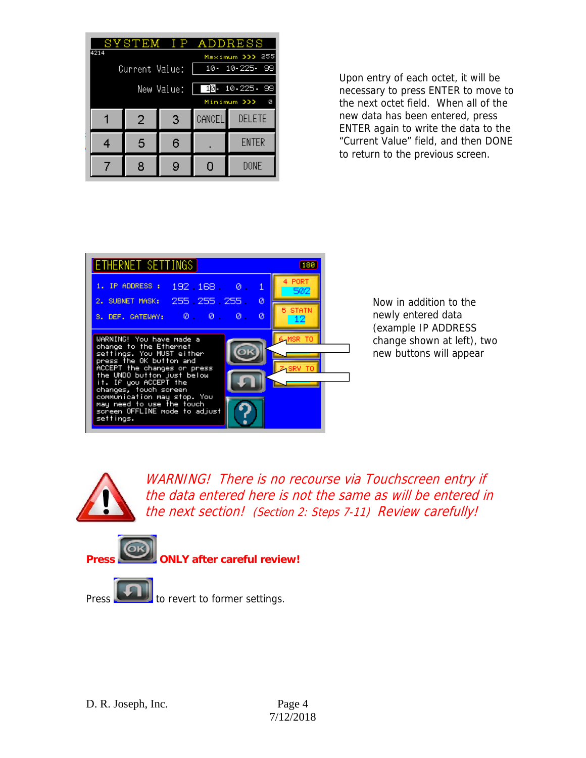|                         |            |   |                      | SYSTEM IP ADDRESS |  |  |
|-------------------------|------------|---|----------------------|-------------------|--|--|
| 4214<br>Maximum >>> 255 |            |   |                      |                   |  |  |
| Current Value:          |            |   | $10 - 10 - 225 - 99$ |                   |  |  |
|                         |            |   |                      |                   |  |  |
|                         | New Value: |   |                      | 10 10 225 - 99    |  |  |
| Minimum >>><br>ø        |            |   |                      |                   |  |  |
|                         | 2          | 3 | <b>CANCEL</b>        | <b>DELETE</b>     |  |  |
| 4                       | 5          | 6 |                      | <b>ENTER</b>      |  |  |
|                         |            |   |                      |                   |  |  |
|                         | 8          | 9 | 0                    | DONE              |  |  |

Upon entry of each octet, it will be necessary to press ENTER to move to the next octet field. When all of the new data has been entered, press ENTER again to write the data to the "Current Value" field, and then DONE to return to the previous screen.



Now in addition to the newly entered data (example IP ADDRESS change shown at left), two new buttons will appear



WARNING! There is no recourse via Touchscreen entry if the data entered here is not the same as will be entered in the next section! (Section 2: Steps 7-11) Review carefully!

**PRESS ONLY after careful review!** 

Press **the line of the revert to former settings.**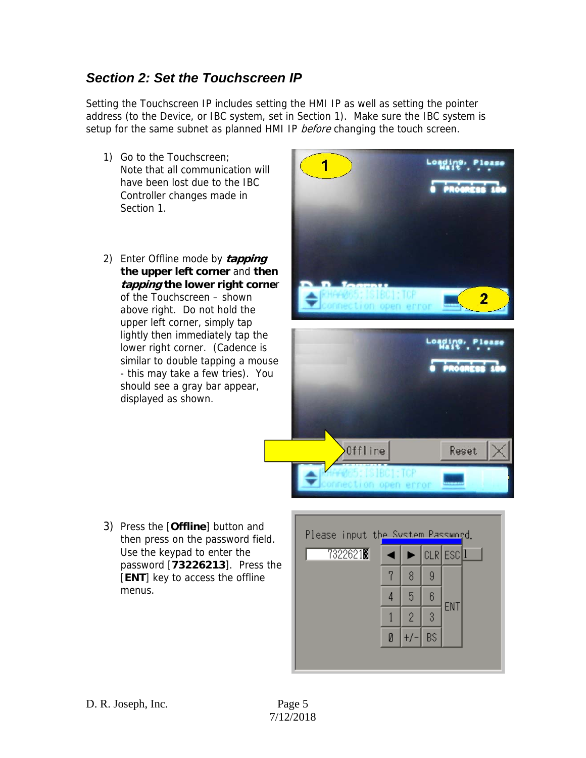## *Section 2: Set the Touchscreen IP*

Setting the Touchscreen IP includes setting the HMI IP as well as setting the pointer address (to the Device, or IBC system, set in Section 1). Make sure the IBC system is setup for the same subnet as planned HMI IP *before* changing the touch screen.

- 1) Go to the Touchscreen; Note that all communication will have been lost due to the IBC Controller changes made in Section 1.
- 2) Enter Offline mode by **tapping the upper left corner** and **then tapping the lower right corne**r of the Touchscreen – shown above right. Do not hold the upper left corner, simply tap lightly then immediately tap the lower right corner. (Cadence is similar to double tapping a mouse - this may take a few tries). You should see a gray bar appear, displayed as shown.



3) Press the [**Offline**] button and then press on the password field. Use the keypad to enter the password [**73226213**]. Press the [**ENT**] key to access the offline menus.

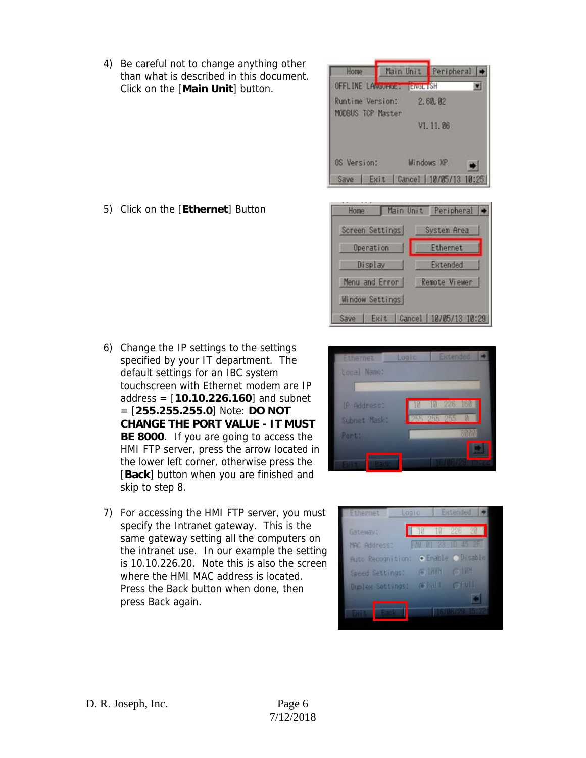4) Be careful not to change anything other than what is described in this document. Click on the [**Main Unit**] button.

5) Click on the [**Ethernet**] Button

- 6) Change the IP settings to the settings specified by your IT department. The default settings for an IBC system touchscreen with Ethernet modem are IP address = [**10.10.226.160**] and subnet = [**255.255.255.0**] Note: **DO NOT CHANGE THE PORT VALUE - IT MUST BE 8000**. If you are going to access the HMI FTP server, press the arrow located in the lower left corner, otherwise press the [**Back**] button when you are finished and skip to step 8.
- 7) For accessing the HMI FTP server, you must specify the Intranet gateway. This is the same gateway setting all the computers on the intranet use. In our example the setting is 10.10.226.20. Note this is also the screen where the HMI MAC address is located. Press the Back button when done, then press Back again.







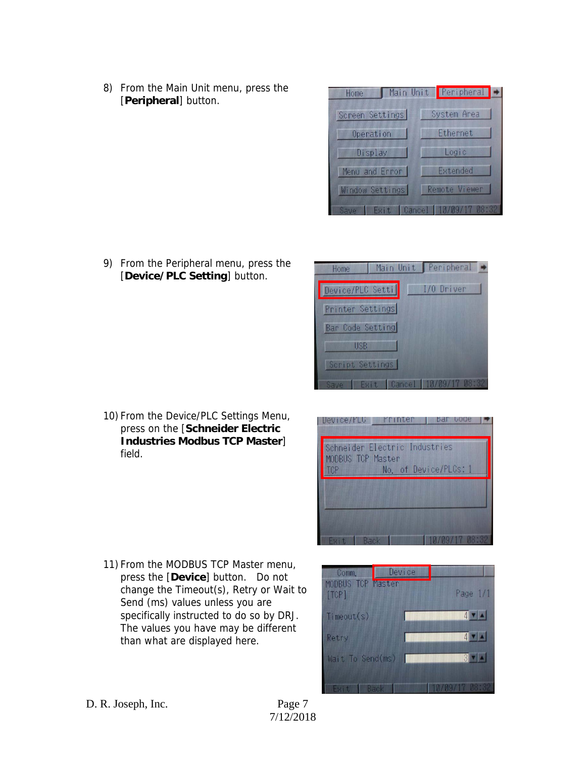8) From the Main Unit menu, press the [**Peripheral**] button.



9) From the Peripheral menu, press the [**Device/PLC Setting**] button.



10) From the Device/PLC Settings Menu, press on the [**Schneider Electric Industries Modbus TCP Master**] field.

Device/PLU Printer bar bode Schneider Electric Industries MODBUS TOP Master No. of Device/PLCs: 1 TCP

11) From the MODBUS TCP Master menu, press the [**Device**] button. Do not change the Timeout(s), Retry or Wait to Send (ms) values unless you are specifically instructed to do so by DRJ. The values you have may be different than what are displayed here.